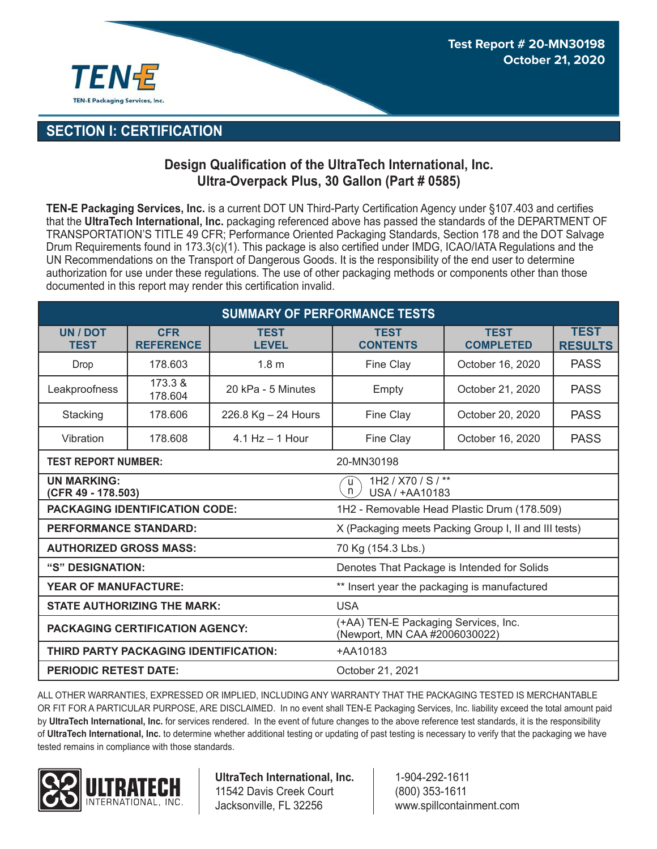

## **SECTION I: CERTIFICATION**

## **Design Qualification of the UltraTech International, Inc. Ultra-Overpack Plus, 30 Gallon (Part # 0585)**

**TEN-E Packaging Services, Inc.** is a current DOT UN Third-Party Certification Agency under §107.403 and certifies that the **UltraTech International, Inc.** packaging referenced above has passed the standards of the DEPARTMENT OF TRANSPORTATION'S TITLE 49 CFR; Performance Oriented Packaging Standards, Section 178 and the DOT Salvage Drum Requirements found in 173.3(c)(1). This package is also certified under IMDG, ICAO/IATA Regulations and the UN Recommendations on the Transport of Dangerous Goods. It is the responsibility of the end user to determine authorization for use under these regulations. The use of other packaging methods or components other than those documented in this report may render this certification invalid.

| <b>SUMMARY OF PERFORMANCE TESTS</b>      |                                |                             |                                                                       |                                 |                               |  |  |  |  |
|------------------------------------------|--------------------------------|-----------------------------|-----------------------------------------------------------------------|---------------------------------|-------------------------------|--|--|--|--|
| UN / DOT<br><b>TEST</b>                  | <b>CFR</b><br><b>REFERENCE</b> | <b>TEST</b><br><b>LEVEL</b> | <b>TEST</b><br><b>CONTENTS</b>                                        | <b>TEST</b><br><b>COMPLETED</b> | <b>TEST</b><br><b>RESULTS</b> |  |  |  |  |
| Drop                                     | 178.603                        | 1.8 <sub>m</sub>            | <b>Fine Clay</b>                                                      | October 16, 2020                | <b>PASS</b>                   |  |  |  |  |
| Leakproofness                            | 173.3 &<br>178.604             | 20 kPa - 5 Minutes          | Empty                                                                 | October 21, 2020                | <b>PASS</b>                   |  |  |  |  |
| Stacking                                 | 178.606                        | 226.8 Kg - 24 Hours         | Fine Clay                                                             | October 20, 2020                | <b>PASS</b>                   |  |  |  |  |
| Vibration                                | 178.608                        | $4.1$ Hz $-1$ Hour          | Fine Clay                                                             | October 16, 2020                | <b>PASS</b>                   |  |  |  |  |
| <b>TEST REPORT NUMBER:</b>               |                                |                             | 20-MN30198                                                            |                                 |                               |  |  |  |  |
| <b>UN MARKING:</b><br>(CFR 49 - 178.503) |                                |                             | 1H2 / X70 / S / **<br>u<br>USA / +AA10183<br>n                        |                                 |                               |  |  |  |  |
| <b>PACKAGING IDENTIFICATION CODE:</b>    |                                |                             | 1H2 - Removable Head Plastic Drum (178.509)                           |                                 |                               |  |  |  |  |
| <b>PERFORMANCE STANDARD:</b>             |                                |                             | X (Packaging meets Packing Group I, II and III tests)                 |                                 |                               |  |  |  |  |
| <b>AUTHORIZED GROSS MASS:</b>            |                                |                             | 70 Kg (154.3 Lbs.)                                                    |                                 |                               |  |  |  |  |
| "S" DESIGNATION:                         |                                |                             | Denotes That Package is Intended for Solids                           |                                 |                               |  |  |  |  |
| <b>YEAR OF MANUFACTURE:</b>              |                                |                             | ** Insert year the packaging is manufactured                          |                                 |                               |  |  |  |  |
| <b>STATE AUTHORIZING THE MARK:</b>       |                                |                             | <b>USA</b>                                                            |                                 |                               |  |  |  |  |
| <b>PACKAGING CERTIFICATION AGENCY:</b>   |                                |                             | (+AA) TEN-E Packaging Services, Inc.<br>(Newport, MN CAA #2006030022) |                                 |                               |  |  |  |  |
| THIRD PARTY PACKAGING IDENTIFICATION:    |                                |                             | +AA10183                                                              |                                 |                               |  |  |  |  |
| <b>PERIODIC RETEST DATE:</b>             |                                |                             | October 21, 2021                                                      |                                 |                               |  |  |  |  |

ALL OTHER WARRANTIES, EXPRESSED OR IMPLIED, INCLUDING ANY WARRANTY THAT THE PACKAGING TESTED IS MERCHANTABLE OR FIT FOR A PARTICULAR PURPOSE, ARE DISCLAIMED. In no event shall TEN-E Packaging Services, Inc. liability exceed the total amount paid by **UltraTech International, Inc.** for services rendered. In the event of future changes to the above reference test standards, it is the responsibility of **UltraTech International, Inc.** to determine whether additional testing or updating of past testing is necessary to verify that the packaging we have tested remains in compliance with those standards.



**UltraTech International, Inc.** 11542 Davis Creek Court Jacksonville, FL 32256

1-904-292-1611 (800) 353-1611 www.spillcontainment.com